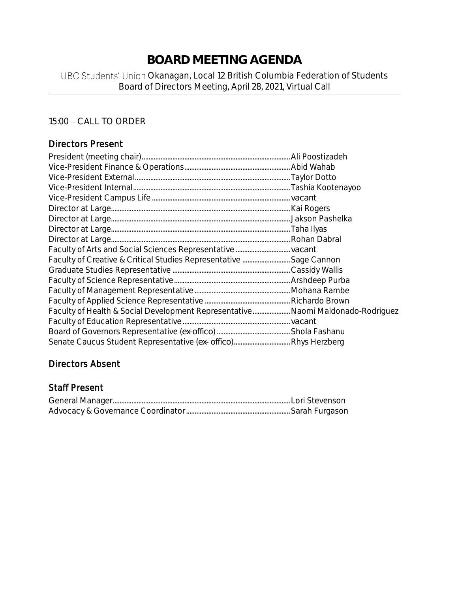# **BOARD MEETING AGENDA**

## UBC Students' Union Okanagan, Local 12 British Columbia Federation of Students Board of Directors Meeting, April 28, 2021, Virtual Call

# 15:00 - CALL TO ORDER

## Directors Present

| Faculty of Health & Social Development Representative Naomi Maldonado-Rodriguez |  |
|---------------------------------------------------------------------------------|--|
|                                                                                 |  |
|                                                                                 |  |
|                                                                                 |  |

## Directors Absent

#### Staff Present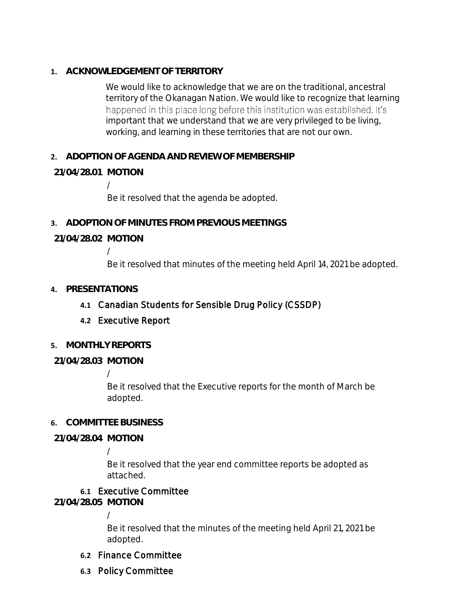**1. ACKNOWLEDGEMENT OF TERRITORY**

We would like to acknowledge that we are on the traditional, ancestral territory of the Okanagan Nation. We would like to recognize that learning happened in this place long before this institution was established. It's important that we understand that we are very privileged to be living, working, and learning in these territories that are not our own.

**2. ADOPTION OF AGENDA AND REVIEW OF MEMBERSHIP**

## **21/04/28.01 MOTION**

/ Be it resolved that the agenda be adopted.

**3. ADOPTION OF MINUTES FROM PREVIOUS MEETINGS**

## **21/04/28.02 MOTION**

/

Be it resolved that minutes of the meeting held April 14, 2021 be adopted.

#### **4. PRESENTATIONS**

- **4.1** Canadian Students for Sensible Drug Policy (CSSDP)
- **4.2** Executive Report
- **5. MONTHLY REPORTS**
- **21/04/28.03 MOTION**

#### /

Be it resolved that the Executive reports for the month of March be adopted.

#### **6. COMMITTEE BUSINESS**

**21/04/28.04 MOTION**

## /

Be it resolved that the year end committee reports be adopted as attached.

#### **6.1** Executive Committee

**21/04/28.05 MOTION**

/

Be it resolved that the minutes of the meeting held April 21, 2021 be adopted.

- **6.2** Finance Committee
- **6.3** Policy Committee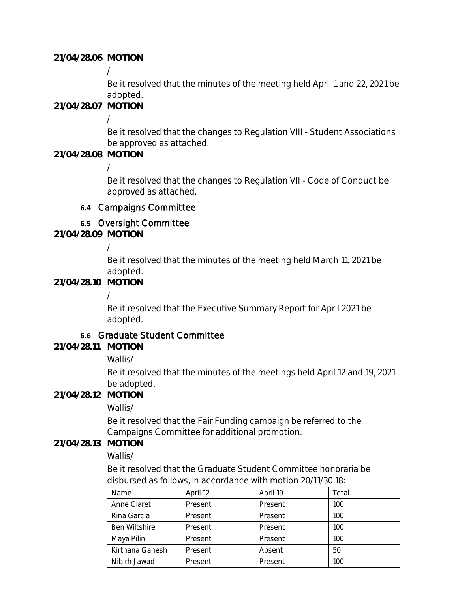**21/04/28.06 MOTION**

/

Be it resolved that the minutes of the meeting held April 1 and 22, 2021 be adopted.

**21/04/28.07 MOTION**

/

Be it resolved that the changes to Regulation VIII - Student Associations be approved as attached.

**21/04/28.08 MOTION**

/

Be it resolved that the changes to Regulation VII - Code of Conduct be approved as attached.

## **6.4** Campaigns Committee

# **6.5** Oversight Committee

**21/04/28.09 MOTION**

/

Be it resolved that the minutes of the meeting held March 11, 2021 be adopted.

## **21/04/28.10 MOTION**

/

Be it resolved that the Executive Summary Report for April 2021 be adopted.

## **6.6** Graduate Student Committee

**21/04/28.11 MOTION**

Wallis/

Be it resolved that the minutes of the meetings held April 12 and 19, 2021 be adopted.

**21/04/28.12 MOTION**

Wallis/

Be it resolved that the Fair Funding campaign be referred to the Campaigns Committee for additional promotion.

## **21/04/28.13 MOTION**

Wallis/

Be it resolved that the Graduate Student Committee honoraria be disbursed as follows, in accordance with motion 20/11/30.18:

| Name                 | April 12 | April 19 | Total |
|----------------------|----------|----------|-------|
| Anne Claret          | Present  | Present  | 100   |
| Rina Garcia          | Present  | Present  | 100   |
| <b>Ben Wiltshire</b> | Present  | Present  | 100   |
| Maya Pilin           | Present  | Present  | 100   |
| Kirthana Ganesh      | Present  | Absent   | 50    |
| Nibirh Jawad         | Present  | Present  | 100   |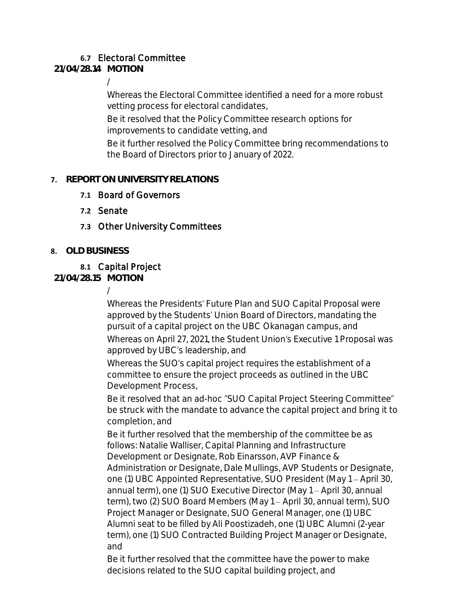# **6.7** Electoral Committee

**21/04/28.14 MOTION**

/

Whereas the Electoral Committee identified a need for a more robust vetting process for electoral candidates,

Be it resolved that the Policy Committee research options for improvements to candidate vetting, and

Be it further resolved the Policy Committee bring recommendations to the Board of Directors prior to January of 2022.

## **7. REPORT ON UNIVERSITY RELATIONS**

- **7.1** Board of Governors
- **7.2** Senate
- **7.3** Other University Committees
- **8. OLD BUSINESS**

## **8.1** Capital Project

**21/04/28.15 MOTION**

/

Whereas the Presidents' Future Plan and SUO Capital Proposal were approved by the Students' Union Board of Directors, mandating the pursuit of a capital project on the UBC Okanagan campus, and Whereas on April 27, 2021, the Student Union's Executive 1 Proposal was approved by UBC's leadership, and

Whereas the SUO's capital project requires the establishment of a committee to ensure the project proceeds as outlined in the UBC Development Process,

Be it resolved that an ad-hoc "SUO Capital Project Steering Committee" be struck with the mandate to advance the capital project and bring it to completion, and

Be it further resolved that the membership of the committee be as follows: Natalie Walliser, Capital Planning and Infrastructure Development or Designate, Rob Einarsson, AVP Finance & Administration or Designate, Dale Mullings, AVP Students or Designate, one (1) UBC Appointed Representative, SUO President (May 1 - April 30, annual term), one (1) SUO Executive Director (May 1 - April 30, annual term), two (2) SUO Board Members (May 1 - April 30, annual term), SUO Project Manager or Designate, SUO General Manager, one (1) UBC Alumni seat to be filled by Ali Poostizadeh, one (1) UBC Alumni (2-year term), one (1) SUO Contracted Building Project Manager or Designate, and

Be it further resolved that the committee have the power to make decisions related to the SUO capital building project, and